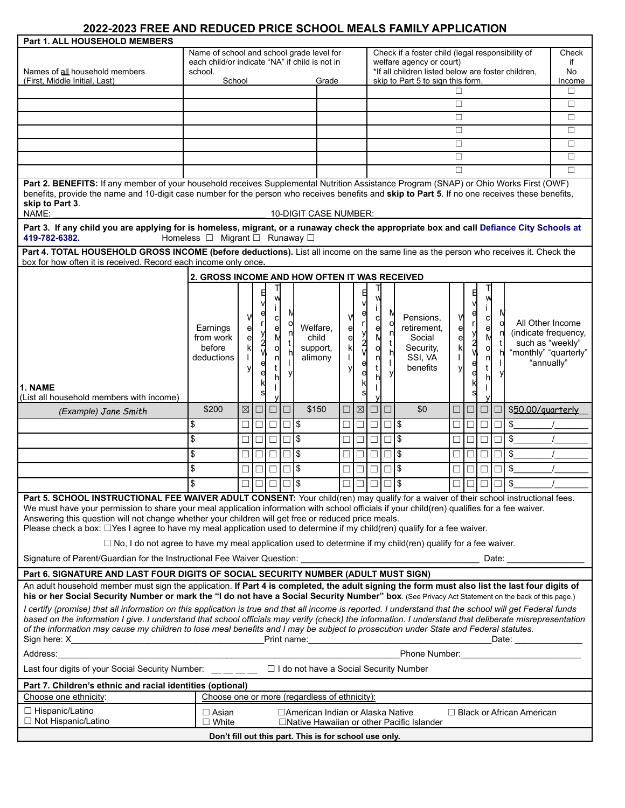## **2022-2023 FREE AND REDUCED PRICE SCHOOL MEALS FAMILY APPLICATION**

| Names of all household members<br>(First, Middle Initial, Last)                                                                                                                                                                                                                                                                                                                                                                                                                                                                                                                                                                                                                                                                                                                                                                                          | Name of school and school grade level for<br>each child/or indicate "NA" if child is not in<br>school.<br>School |             |        |                  | Grade    |                                               |             | Check if a foster child (legal responsibility of<br>welfare agency or court)<br>*If all children listed below are foster children,<br>skip to Part 5 to sign this form. |                  |          |                                                                        |             | Check<br>if<br>No<br>Income |                                             |               |                                                                                                     |        |
|----------------------------------------------------------------------------------------------------------------------------------------------------------------------------------------------------------------------------------------------------------------------------------------------------------------------------------------------------------------------------------------------------------------------------------------------------------------------------------------------------------------------------------------------------------------------------------------------------------------------------------------------------------------------------------------------------------------------------------------------------------------------------------------------------------------------------------------------------------|------------------------------------------------------------------------------------------------------------------|-------------|--------|------------------|----------|-----------------------------------------------|-------------|-------------------------------------------------------------------------------------------------------------------------------------------------------------------------|------------------|----------|------------------------------------------------------------------------|-------------|-----------------------------|---------------------------------------------|---------------|-----------------------------------------------------------------------------------------------------|--------|
|                                                                                                                                                                                                                                                                                                                                                                                                                                                                                                                                                                                                                                                                                                                                                                                                                                                          |                                                                                                                  |             |        |                  |          |                                               |             |                                                                                                                                                                         |                  |          |                                                                        | П           |                             |                                             |               |                                                                                                     | П      |
|                                                                                                                                                                                                                                                                                                                                                                                                                                                                                                                                                                                                                                                                                                                                                                                                                                                          |                                                                                                                  |             |        |                  |          |                                               |             |                                                                                                                                                                         |                  |          |                                                                        | $\Box$      |                             |                                             |               |                                                                                                     | $\Box$ |
|                                                                                                                                                                                                                                                                                                                                                                                                                                                                                                                                                                                                                                                                                                                                                                                                                                                          |                                                                                                                  |             |        |                  |          |                                               |             |                                                                                                                                                                         |                  |          |                                                                        | $\Box$      |                             |                                             |               |                                                                                                     | $\Box$ |
|                                                                                                                                                                                                                                                                                                                                                                                                                                                                                                                                                                                                                                                                                                                                                                                                                                                          |                                                                                                                  |             |        |                  |          |                                               |             |                                                                                                                                                                         |                  |          |                                                                        | П           |                             |                                             |               |                                                                                                     |        |
|                                                                                                                                                                                                                                                                                                                                                                                                                                                                                                                                                                                                                                                                                                                                                                                                                                                          |                                                                                                                  |             |        |                  |          |                                               |             |                                                                                                                                                                         |                  |          |                                                                        |             |                             |                                             |               |                                                                                                     | $\Box$ |
|                                                                                                                                                                                                                                                                                                                                                                                                                                                                                                                                                                                                                                                                                                                                                                                                                                                          |                                                                                                                  |             |        |                  |          |                                               |             |                                                                                                                                                                         |                  |          |                                                                        | $\Box$      |                             |                                             |               |                                                                                                     | $\Box$ |
|                                                                                                                                                                                                                                                                                                                                                                                                                                                                                                                                                                                                                                                                                                                                                                                                                                                          |                                                                                                                  |             |        |                  |          |                                               |             |                                                                                                                                                                         |                  |          |                                                                        | П           |                             |                                             |               |                                                                                                     | $\Box$ |
| П<br>П<br>Part 2. BENEFITS: If any member of your household receives Supplemental Nutrition Assistance Program (SNAP) or Ohio Works First (OWF)<br>benefits, provide the name and 10-digit case number for the person who receives benefits and skip to Part 5. If no one receives these benefits,<br>skip to Part 3.                                                                                                                                                                                                                                                                                                                                                                                                                                                                                                                                    |                                                                                                                  |             |        |                  |          |                                               |             |                                                                                                                                                                         |                  |          |                                                                        |             |                             |                                             |               |                                                                                                     |        |
| NAME:                                                                                                                                                                                                                                                                                                                                                                                                                                                                                                                                                                                                                                                                                                                                                                                                                                                    |                                                                                                                  |             |        |                  |          | 10-DIGIT CASE NUMBER:                         |             |                                                                                                                                                                         |                  |          |                                                                        |             |                             |                                             |               |                                                                                                     |        |
| Part 3. If any child you are applying for is homeless, migrant, or a runaway check the appropriate box and call Defiance City Schools at<br>419-782-6382.<br>Homeless □ Migrant □ Runaway □<br>Part 4. TOTAL HOUSEHOLD GROSS INCOME (before deductions). List all income on the same line as the person who receives it. Check the                                                                                                                                                                                                                                                                                                                                                                                                                                                                                                                       |                                                                                                                  |             |        |                  |          |                                               |             |                                                                                                                                                                         |                  |          |                                                                        |             |                             |                                             |               |                                                                                                     |        |
| box for how often it is received. Record each income only once.                                                                                                                                                                                                                                                                                                                                                                                                                                                                                                                                                                                                                                                                                                                                                                                          |                                                                                                                  |             |        |                  |          |                                               |             |                                                                                                                                                                         |                  |          |                                                                        |             |                             |                                             |               |                                                                                                     |        |
|                                                                                                                                                                                                                                                                                                                                                                                                                                                                                                                                                                                                                                                                                                                                                                                                                                                          | 2. GROSS INCOME AND HOW OFTEN IT WAS RECEIVED                                                                    |             |        |                  |          |                                               |             |                                                                                                                                                                         |                  |          |                                                                        |             |                             |                                             |               |                                                                                                     |        |
|                                                                                                                                                                                                                                                                                                                                                                                                                                                                                                                                                                                                                                                                                                                                                                                                                                                          |                                                                                                                  |             |        |                  |          |                                               |             |                                                                                                                                                                         |                  |          |                                                                        |             |                             |                                             |               |                                                                                                     |        |
| 1. NAME                                                                                                                                                                                                                                                                                                                                                                                                                                                                                                                                                                                                                                                                                                                                                                                                                                                  | Earnings<br>from work<br>before<br>deductions                                                                    | е<br>e      | e<br>e | с<br>e<br>o<br>n |          | Welfare.<br>child<br>support,<br>alimony      | e<br>e<br>k | 日<br>е<br>у<br>2<br>V<br>e<br>e                                                                                                                                         | с<br>e<br>O<br>n | n        | Pensions.<br>retirement.<br>Social<br>Security,<br>SSI, VA<br>benefits | e<br>e<br>k | e<br>У<br>2<br>V            | w<br>İΙ<br>$\mathbf{C}$<br>e<br>M<br>o<br>n |               | All Other Income<br>(indicate frequency,<br>such as "weekly"<br>"monthly" "quarterly"<br>"annually" |        |
| (List all household members with income)                                                                                                                                                                                                                                                                                                                                                                                                                                                                                                                                                                                                                                                                                                                                                                                                                 | \$200                                                                                                            | $\boxtimes$ | $\Box$ | $\Box$           |          | \$150                                         |             | $\boxtimes$                                                                                                                                                             | $\Box$           | $\Box$   | \$0                                                                    |             |                             |                                             | $\Box   \Box$ |                                                                                                     |        |
| (Example) Jane Smith                                                                                                                                                                                                                                                                                                                                                                                                                                                                                                                                                                                                                                                                                                                                                                                                                                     |                                                                                                                  |             |        |                  | $\Box$   |                                               | □           |                                                                                                                                                                         |                  |          |                                                                        | □           | $\Box$                      |                                             |               | \$50,00/guarterly                                                                                   |        |
|                                                                                                                                                                                                                                                                                                                                                                                                                                                                                                                                                                                                                                                                                                                                                                                                                                                          |                                                                                                                  |             |        |                  |          |                                               |             |                                                                                                                                                                         |                  |          |                                                                        |             |                             |                                             |               |                                                                                                     |        |
|                                                                                                                                                                                                                                                                                                                                                                                                                                                                                                                                                                                                                                                                                                                                                                                                                                                          | \$                                                                                                               | □           | □      | П                | ш        | 1\$                                           | □           | $\Box$                                                                                                                                                                  | $\Box$           | $\Box$ s |                                                                        |             | ш                           | □                                           | □             | \$                                                                                                  |        |
|                                                                                                                                                                                                                                                                                                                                                                                                                                                                                                                                                                                                                                                                                                                                                                                                                                                          | \$                                                                                                               | $\Box$      | $\Box$ |                  | $\Box$ s |                                               | □           | $\Box$                                                                                                                                                                  | $\Box$           | $\Box$ s |                                                                        |             |                             | $\Box$                                      | $\Box$        | \$                                                                                                  |        |
|                                                                                                                                                                                                                                                                                                                                                                                                                                                                                                                                                                                                                                                                                                                                                                                                                                                          | \$                                                                                                               | $\Box$      | $\Box$ | $\Box$           | □        | 1\$                                           | □           | $\Box$                                                                                                                                                                  | $\Box$           | $\Box$ s |                                                                        |             |                             | $\Box$                                      | □             | \$                                                                                                  |        |
|                                                                                                                                                                                                                                                                                                                                                                                                                                                                                                                                                                                                                                                                                                                                                                                                                                                          | \$                                                                                                               | $\Box$      | $\Box$ | $\Box$           | □        | l\$                                           | $\Box$      | $\Box$                                                                                                                                                                  | $\Box$           | $\Box$ s |                                                                        | □           | □                           | □                                           | □             | $\frac{1}{2}$                                                                                       |        |
|                                                                                                                                                                                                                                                                                                                                                                                                                                                                                                                                                                                                                                                                                                                                                                                                                                                          | \$                                                                                                               |             |        | □                |          | l \$                                          | □           |                                                                                                                                                                         |                  |          |                                                                        |             |                             | □                                           | □             | \$                                                                                                  |        |
|                                                                                                                                                                                                                                                                                                                                                                                                                                                                                                                                                                                                                                                                                                                                                                                                                                                          |                                                                                                                  |             | $\Box$ |                  |          |                                               |             | □                                                                                                                                                                       | $\Box$           | $\Box$ s |                                                                        | □ ।         |                             |                                             |               |                                                                                                     |        |
| <b>Part 5. SCHOOL INSTRUCTIONAL FEE WAIVER ADULT CONSENT:</b> Your child(ren) may qualify for a waiver of their school instructional fees.<br>We must have your permission to share your meal application information with school officials if your child(ren) qualifies for a fee waiver.<br>Answering this question will not change whether your children will get free or reduced price meals.<br>Please check a box: □Yes I agree to have my meal application used to determine if my child(ren) qualify for a fee waiver.<br>$\Box$ No, I do not agree to have my meal application used to determine if my child(ren) qualify for a fee waiver.                                                                                                                                                                                                     |                                                                                                                  |             |        |                  |          |                                               |             |                                                                                                                                                                         |                  |          |                                                                        |             |                             |                                             |               |                                                                                                     |        |
|                                                                                                                                                                                                                                                                                                                                                                                                                                                                                                                                                                                                                                                                                                                                                                                                                                                          |                                                                                                                  |             |        |                  |          |                                               |             |                                                                                                                                                                         |                  |          |                                                                        |             |                             |                                             |               |                                                                                                     |        |
| Part 6. SIGNATURE AND LAST FOUR DIGITS OF SOCIAL SECURITY NUMBER (ADULT MUST SIGN)<br>An adult household member must sign the application. If Part 4 is completed, the adult signing the form must also list the last four digits of<br>his or her Social Security Number or mark the "I do not have a Social Security Number" box. (See Privacy Act Statement on the back of this page.)<br>I certify (promise) that all information on this application is true and that all income is reported. I understand that the school will get Federal funds<br>based on the information I give. I understand that school officials may verify (check) the information. I understand that deliberate misrepresentation<br>of the information may cause my children to lose meal benefits and I may be subject to prosecution under State and Federal statutes. |                                                                                                                  |             |        |                  |          |                                               |             |                                                                                                                                                                         |                  |          |                                                                        |             |                             |                                             |               |                                                                                                     |        |
|                                                                                                                                                                                                                                                                                                                                                                                                                                                                                                                                                                                                                                                                                                                                                                                                                                                          |                                                                                                                  |             |        |                  |          |                                               |             |                                                                                                                                                                         |                  |          |                                                                        |             |                             |                                             |               |                                                                                                     |        |
| Address: Phone Number: Phone Number: Phone Number:<br>Last four digits of your Social Security Number: __ _ _ _ _ _ □ I do not have a Social Security Number                                                                                                                                                                                                                                                                                                                                                                                                                                                                                                                                                                                                                                                                                             |                                                                                                                  |             |        |                  |          |                                               |             |                                                                                                                                                                         |                  |          |                                                                        |             |                             |                                             |               |                                                                                                     |        |
| Part 7. Children's ethnic and racial identities (optional)                                                                                                                                                                                                                                                                                                                                                                                                                                                                                                                                                                                                                                                                                                                                                                                               |                                                                                                                  |             |        |                  |          |                                               |             |                                                                                                                                                                         |                  |          |                                                                        |             |                             |                                             |               |                                                                                                     |        |
| Choose one ethnicity:                                                                                                                                                                                                                                                                                                                                                                                                                                                                                                                                                                                                                                                                                                                                                                                                                                    |                                                                                                                  |             |        |                  |          | Choose one or more (regardless of ethnicity). |             |                                                                                                                                                                         |                  |          |                                                                        |             |                             |                                             |               |                                                                                                     |        |
| $\Box$ Hispanic/Latino<br>$\Box$ Not Hispanic/Latino                                                                                                                                                                                                                                                                                                                                                                                                                                                                                                                                                                                                                                                                                                                                                                                                     | $\Box$ Asian<br>$\Box$ White                                                                                     |             |        |                  |          | □American Indian or Alaska Native             |             |                                                                                                                                                                         |                  |          | $\Box$ Native Hawaiian or other Pacific Islander                       |             |                             |                                             |               | $\Box$ Black or African American                                                                    |        |